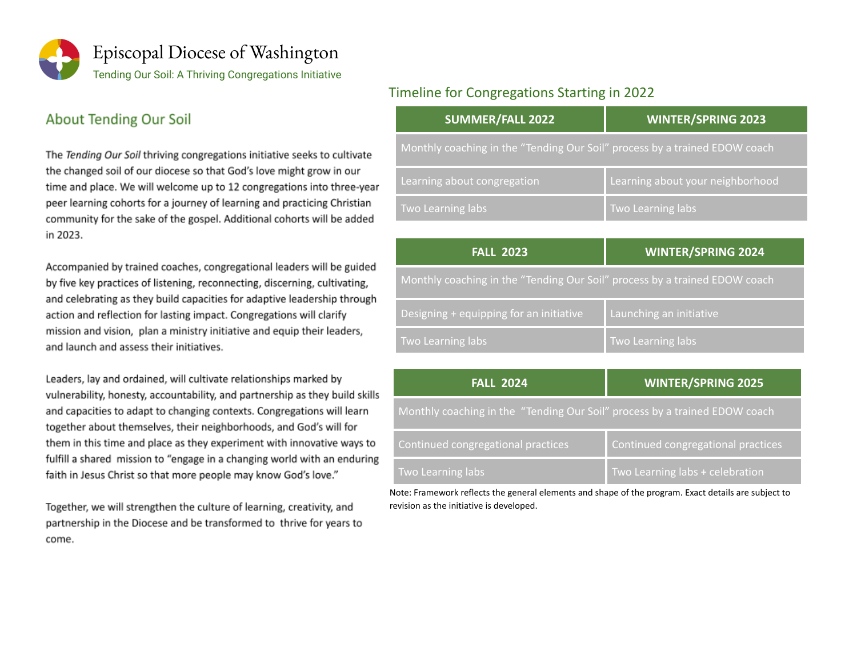

## **About Tending Our Soil**

The Tending Our Soil thriving congregations initiative seeks to cultivate the changed soil of our diocese so that God's love might grow in our time and place. We will welcome up to 12 congregations into three-year peer learning cohorts for a journey of learning and practicing Christian community for the sake of the gospel. Additional cohorts will be added in 2023.

Accompanied by trained coaches, congregational leaders will be guided by five key practices of listening, reconnecting, discerning, cultivating, and celebrating as they build capacities for adaptive leadership through action and reflection for lasting impact. Congregations will clarify mission and vision, plan a ministry initiative and equip their leaders, and launch and assess their initiatives.

Leaders, lay and ordained, will cultivate relationships marked by vulnerability, honesty, accountability, and partnership as they build skills and capacities to adapt to changing contexts. Congregations will learn together about themselves, their neighborhoods, and God's will for them in this time and place as they experiment with innovative ways to fulfill a shared mission to "engage in a changing world with an enduring faith in Jesus Christ so that more people may know God's love."

Together, we will strengthen the culture of learning, creativity, and partnership in the Diocese and be transformed to thrive for years to come.

### Timeline for Congregations Starting in 2022

| <b>SUMMER/FALL 2022</b>                                                    | <b>WINTER/SPRING 2023</b>        |
|----------------------------------------------------------------------------|----------------------------------|
| Monthly coaching in the "Tending Our Soil" process by a trained EDOW coach |                                  |
| Learning about congregation                                                | Learning about your neighborhood |
| Two Learning labs                                                          | Two Learning labs                |

| <b>FALL 2023</b>                                                           | <b>WINTER/SPRING 2024</b> |  |
|----------------------------------------------------------------------------|---------------------------|--|
| Monthly coaching in the "Tending Our Soil" process by a trained EDOW coach |                           |  |
| Designing + equipping for an initiative                                    | Launching an initiative   |  |
| Two Learning labs                                                          | Two Learning labs         |  |

| <b>FALL 2024</b>                                                           | <b>WINTER/SPRING 2025</b>          |  |
|----------------------------------------------------------------------------|------------------------------------|--|
| Monthly coaching in the "Tending Our Soil" process by a trained EDOW coach |                                    |  |
| Continued congregational practices                                         | Continued congregational practices |  |
| Two Learning labs                                                          | Two Learning labs + celebration    |  |

Note: Framework reflects the general elements and shape of the program. Exact details are subject to revision as the initiative is developed.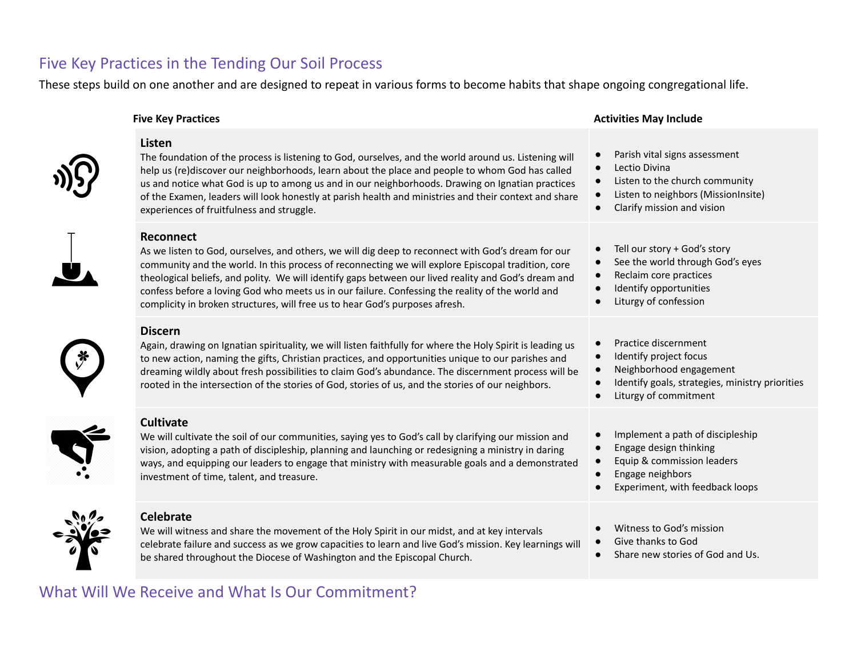# Five Key Practices in the Tending Our Soil Process

These steps build on one another and are designed to repeat in various forms to become habits that shape ongoing congregational life.

| <b>Five Key Practices</b>                                                                                                                                                                                                                                                                                                                                                                                                                                                                                                | <b>Activities May Include</b>                                                                                                                                                   |
|--------------------------------------------------------------------------------------------------------------------------------------------------------------------------------------------------------------------------------------------------------------------------------------------------------------------------------------------------------------------------------------------------------------------------------------------------------------------------------------------------------------------------|---------------------------------------------------------------------------------------------------------------------------------------------------------------------------------|
| Listen<br>The foundation of the process is listening to God, ourselves, and the world around us. Listening will<br>help us (re)discover our neighborhoods, learn about the place and people to whom God has called<br>us and notice what God is up to among us and in our neighborhoods. Drawing on Ignatian practices<br>of the Examen, leaders will look honestly at parish health and ministries and their context and share<br>experiences of fruitfulness and struggle.                                             | Parish vital signs assessment<br>Lectio Divina<br>Listen to the church community<br>Listen to neighbors (MissionInsite)<br>Clarify mission and vision<br>$\bullet$              |
| <b>Reconnect</b><br>As we listen to God, ourselves, and others, we will dig deep to reconnect with God's dream for our<br>community and the world. In this process of reconnecting we will explore Episcopal tradition, core<br>theological beliefs, and polity. We will identify gaps between our lived reality and God's dream and<br>confess before a loving God who meets us in our failure. Confessing the reality of the world and<br>complicity in broken structures, will free us to hear God's purposes afresh. | Tell our story + God's story<br>See the world through God's eyes<br>Reclaim core practices<br>$\bullet$<br>Identify opportunities<br>$\bullet$<br>Liturgy of confession         |
| <b>Discern</b><br>Again, drawing on Ignatian spirituality, we will listen faithfully for where the Holy Spirit is leading us<br>to new action, naming the gifts, Christian practices, and opportunities unique to our parishes and<br>dreaming wildly about fresh possibilities to claim God's abundance. The discernment process will be<br>rooted in the intersection of the stories of God, stories of us, and the stories of our neighbors.                                                                          | Practice discernment<br>Identify project focus<br>$\bullet$<br>Neighborhood engagement<br>$\bullet$<br>Identify goals, strategies, ministry priorities<br>Liturgy of commitment |
| <b>Cultivate</b><br>We will cultivate the soil of our communities, saying yes to God's call by clarifying our mission and<br>vision, adopting a path of discipleship, planning and launching or redesigning a ministry in daring<br>ways, and equipping our leaders to engage that ministry with measurable goals and a demonstrated<br>investment of time, talent, and treasure.                                                                                                                                        | Implement a path of discipleship<br>Engage design thinking<br>Equip & commission leaders<br>$\bullet$<br>Engage neighbors<br>$\bullet$<br>Experiment, with feedback loops       |
| <b>Celebrate</b><br>We will witness and share the movement of the Holy Spirit in our midst, and at key intervals<br>celebrate failure and success as we grow capacities to learn and live God's mission. Key learnings will<br>be shared throughout the Diocese of Washington and the Episcopal Church.                                                                                                                                                                                                                  | Witness to God's mission<br>Give thanks to God<br>$\bullet$<br>Share new stories of God and Us.                                                                                 |

## What Will We Receive and What Is Our Commitment?